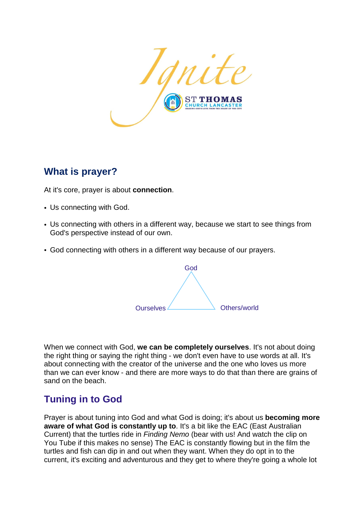

## **What is prayer?**

At it's core, prayer is about **connection**.

- Us connecting with God.
- Us connecting with others in a different way, because we start to see things from God's perspective instead of our own.
- God connecting with others in a different way because of our prayers.



When we connect with God, **we can be completely ourselves**. It's not about doing the right thing or saying the right thing - we don't even have to use words at all. It's about connecting with the creator of the universe and the one who loves us more than we can ever know - and there are more ways to do that than there are grains of sand on the beach.

## **Tuning in to God**

Prayer is about tuning into God and what God is doing; it's about us **becoming more aware of what God is constantly up to**. It's a bit like the EAC (East Australian Current) that the turtles ride in *Finding Nemo* (bear with us! And watch the clip on You Tube if this makes no sense) The EAC is constantly flowing but in the film the turtles and fish can dip in and out when they want. When they do opt in to the current, it's exciting and adventurous and they get to where they're going a whole lot